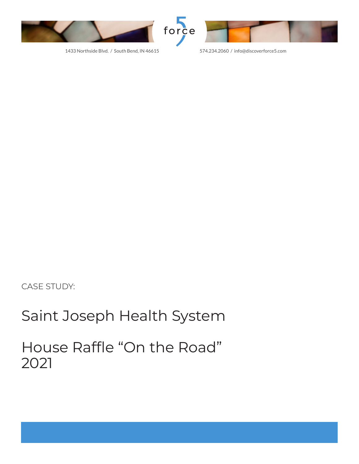



1433 Northside Blvd. / South Bend, IN 46615 574.234.2060 / info@discoverforce5.com

#### CASE STUDY:

### Saint Joseph Health System

House Raffle "On the Road" 2021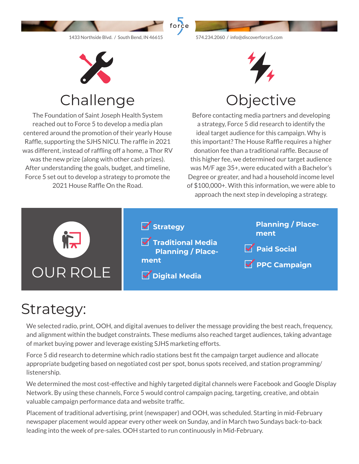



Challenge

The Foundation of Saint Joseph Health System reached out to Force 5 to develop a media plan centered around the promotion of their yearly House Raffle, supporting the SJHS NICU. The raffle in 2021 was different, instead of raffling off a home, a Thor RV was the new prize (along with other cash prizes). After understanding the goals, budget, and timeline, Force 5 set out to develop a strategy to promote the 2021 House Raffle On the Road.



### **Objective**

Before contacting media partners and developing a strategy, Force 5 did research to identify the ideal target audience for this campaign. Why is this important? The House Raffle requires a higher donation fee than a traditional raffle. Because of this higher fee, we determined our target audience was M/F age 35+, were educated with a Bachelor's Degree or greater, and had a household income level of \$100,000+. With this information, we were able to approach the next step in developing a strategy.



# Strategy:

We selected radio, print, OOH, and digital avenues to deliver the message providing the best reach, frequency, and alignment within the budget constraints. These mediums also reached target audiences, taking advantage of market buying power and leverage existing SJHS marketing efforts.

Force 5 did research to determine which radio stations best fit the campaign target audience and allocate appropriate budgeting based on negotiated cost per spot, bonus spots received, and station programming/ listenership.

We determined the most cost-effective and highly targeted digital channels were Facebook and Google Display Network. By using these channels, Force 5 would control campaign pacing, targeting, creative, and obtain valuable campaign performance data and website traffic.

Placement of traditional advertising, print (newspaper) and OOH, was scheduled. Starting in mid-February newspaper placement would appear every other week on Sunday, and in March two Sundays back-to-back leading into the week of pre-sales. OOH started to run continuously in Mid-February.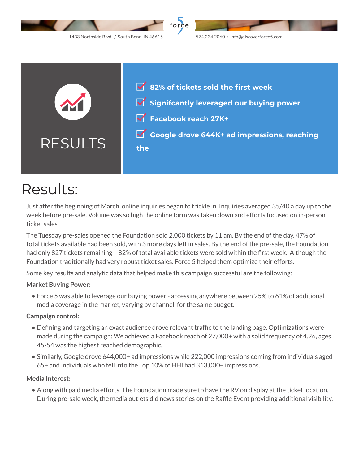



## Results:

Just after the beginning of March, online inquiries began to trickle in. Inquiries averaged 35/40 a day up to the week before pre-sale. Volume was so high the online form was taken down and efforts focused on in-person ticket sales.

The Tuesday pre-sales opened the Foundation sold 2,000 tickets by 11 am. By the end of the day, 47% of total tickets available had been sold, with 3 more days left in sales. By the end of the pre-sale, the Foundation had only 827 tickets remaining – 82% of total available tickets were sold within the first week. Although the Foundation traditionally had very robust ticket sales. Force 5 helped them optimize their efforts.

Some key results and analytic data that helped make this campaign successful are the following:

#### **Market Buying Power:**

• Force 5 was able to leverage our buying power - accessing anywhere between 25% to 61% of additional media coverage in the market, varying by channel, for the same budget.

#### **Campaign control:**

- Defining and targeting an exact audience drove relevant traffic to the landing page. Optimizations were made during the campaign: We achieved a Facebook reach of 27,000+ with a solid frequency of 4.26, ages 45-54 was the highest reached demographic.
- Similarly, Google drove 644,000+ ad impressions while 222,000 impressions coming from individuals aged 65+ and individuals who fell into the Top 10% of HHI had 313,000+ impressions.

#### **Media Interest:**

• Along with paid media efforts, The Foundation made sure to have the RV on display at the ticket location. During pre-sale week, the media outlets did news stories on the Raffle Event providing additional visibility.